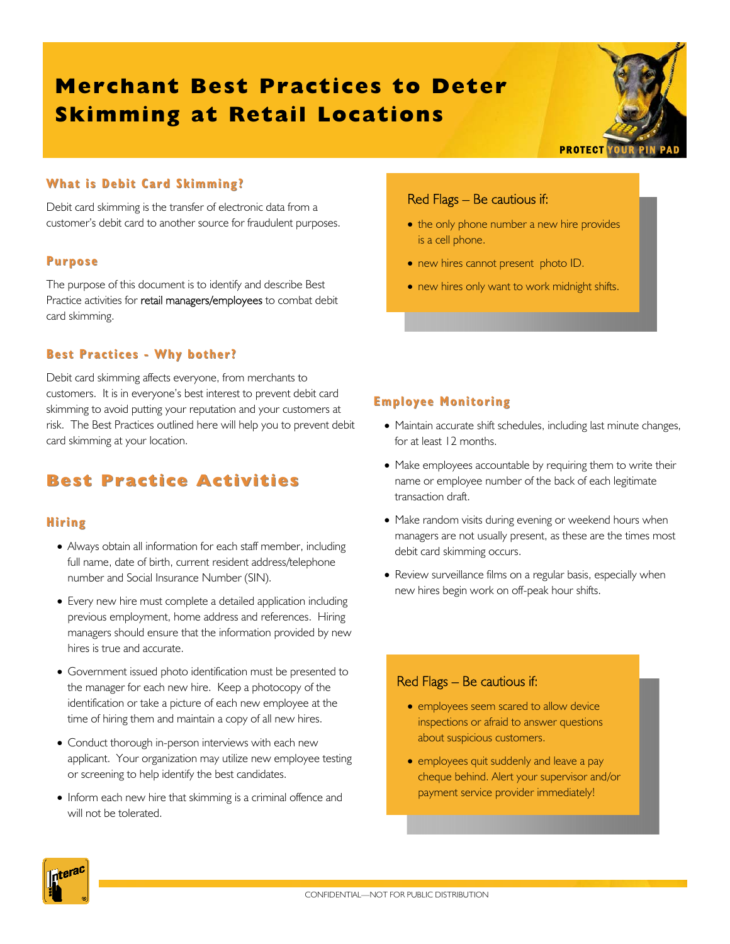# **Merchant Best Practices to Deter Skimming at Retail Locations**



### **What is Debit Card Skimming? is Debit**

Debit card skimming is the transfer of electronic data from a customer's debit card to another source for fraudulent purposes.

#### **Purpose**

The purpose of this document is to identify and describe Best Practice activities for retail managers/employees to combat debit card skimming.

### **Best Practices - Why bother?**

Debit card skimming affects everyone, from merchants to customers. It is in everyone's best interest to prevent debit card skimming to avoid putting your reputation and your customers at risk. The Best Practices outlined here will help you to prevent debit card skimming at your location.

# **Best Practice Activities Best Practice Activities**

# **Hiring**

- Always obtain all information for each staff member, including full name, date of birth, current resident address/telephone number and Social Insurance Number (SIN).
- Every new hire must complete a detailed application including previous employment, home address and references. Hiring managers should ensure that the information provided by new hires is true and accurate.
- Government issued photo identification must be presented to the manager for each new hire. Keep a photocopy of the identification or take a picture of each new employee at the time of hiring them and maintain a copy of all new hires.
- Conduct thorough in-person interviews with each new applicant. Your organization may utilize new employee testing or screening to help identify the best candidates.
- Inform each new hire that skimming is a criminal offence and will not be tolerated.

# Red Flags – Be cautious if:

- the only phone number a new hire provides is a cell phone.
- new hires cannot present photo ID.
- new hires only want to work midnight shifts.

# **Employee Monitoring Employee Monitoring**

- Maintain accurate shift schedules, including last minute changes, for at least 12 months.
- Make employees accountable by requiring them to write their name or employee number of the back of each legitimate transaction draft.
- Make random visits during evening or weekend hours when managers are not usually present, as these are the times most debit card skimming occurs.
- Review surveillance films on a regular basis, especially when new hires begin work on off-peak hour shifts.

### Red Flags – Be cautious if:

- employees seem scared to allow device inspections or afraid to answer questions about suspicious customers.
- employees quit suddenly and leave a pay cheque behind. Alert your supervisor and/or payment service provider immediately!